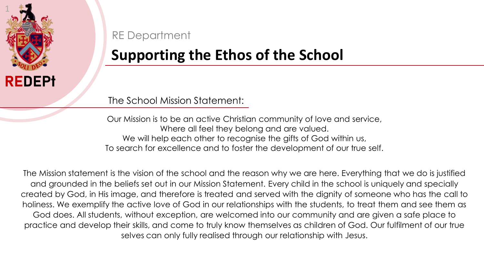

RE Department

## **Supporting the Ethos of the School**

The School Mission Statement:

Our Mission is to be an active Christian community of love and service, Where all feel they belong and are valued. We will help each other to recognise the gifts of God within us, To search for excellence and to foster the development of our true self.

The Mission statement is the vision of the school and the reason why we are here. Everything that we do is justified and grounded in the beliefs set out in our Mission Statement. Every child in the school is uniquely and specially created by God, in His image, and therefore is treated and served with the dignity of someone who has the call to holiness. We exemplify the active love of God in our relationships with the students, to treat them and see them as God does. All students, without exception, are welcomed into our community and are given a safe place to practice and develop their skills, and come to truly know themselves as children of God. Our fulfilment of our true selves can only fully realised through our relationship with Jesus.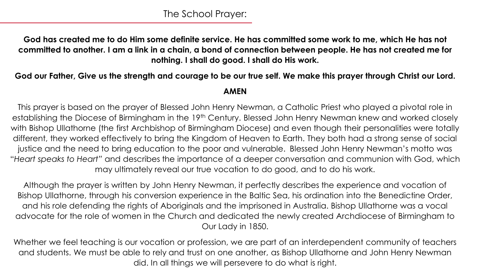**God has created me to do Him some definite service. He has committed some work to me, which He has not committed to another. I am a link in a chain, a bond of connection between people. He has not created me for nothing. I shall do good. I shall do His work.**

## **God our Father, Give us the strength and courage to be our true self. We make this prayer through Christ our Lord.**

**AMEN**

This prayer is based on the prayer of Blessed John Henry Newman, a Catholic Priest who played a pivotal role in establishing the Diocese of Birmingham in the 19<sup>th</sup> Century. Blessed John Henry Newman knew and worked closely with Bishop Ullathorne (the first Archbishop of Birmingham Diocese) and even though their personalities were totally different, they worked effectively to bring the Kingdom of Heaven to Earth. They both had a strong sense of social justice and the need to bring education to the poor and vulnerable. Blessed John Henry Newman's motto was "*Heart speaks to Heart"* and describes the importance of a deeper conversation and communion with God, which may ultimately reveal our true vocation to do good, and to do his work.

Although the prayer is written by John Henry Newman, it perfectly describes the experience and vocation of Bishop Ullathorne, through his conversion experience in the Baltic Sea, his ordination into the Benedictine Order, and his role defending the rights of Aboriginals and the imprisoned in Australia. Bishop Ullathorne was a vocal advocate for the role of women in the Church and dedicated the newly created Archdiocese of Birmingham to Our Lady in 1850.

Whether we feel teaching is our vocation or profession, we are part of an interdependent community of teachers and students. We must be able to rely and trust on one another, as Bishop Ullathorne and John Henry Newman did. In all things we will persevere to do what is right.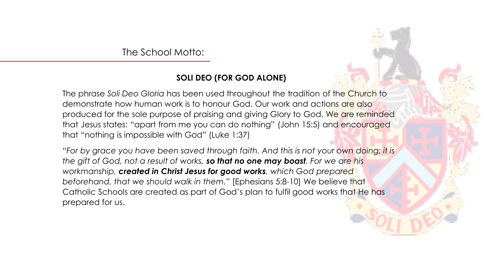The School Motto:

## **SOLI DEO (FOR GOD ALONE)**

The phrase *Soli Deo Gloria* has been used throughout the tradition of the Church to demonstrate how human work is to honour God. Our work and actions are also produced for the sole purpose of praising and giving Glory to God. We are reminded that Jesus states: "apart from me you can do nothing" (John 15:5) and encouraged that "nothing is impossible with God" (Luke 1:37)

*"For by grace you have been saved through faith. And this is not your own doing; it is the gift of God, not a result of works, so that no one may boast. For we are his workmanship, created in Christ Jesus for good works, which God prepared beforehand, that we should walk in them."* [Ephesians 5:8-10] We believe that Catholic Schools are created as part of God's plan to fulfil good works that He has prepared for us.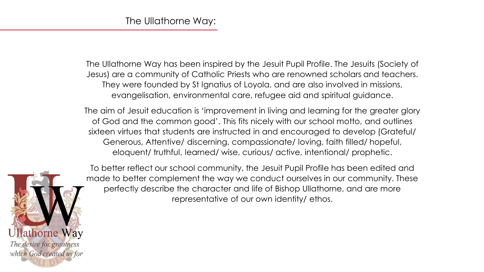The Ullathorne Way has been inspired by the Jesuit Pupil Profile. The Jesuits (Society of Jesus) are a community of Catholic Priests who are renowned scholars and teachers. They were founded by St Ignatius of Loyola, and are also involved in missions, evangelisation, environmental care, refugee aid and spiritual guidance.

The aim of Jesuit education is 'improvement in living and learning for the greater glory of God and the common good'. This fits nicely with our school motto, and outlines sixteen virtues that students are instructed in and encouraged to develop (Grateful/ Generous, Attentive/ discerning, compassionate/ loving, faith filled/ hopeful, eloquent/ truthful, learned/ wise, curious/ active, intentional/ prophetic.



To better reflect our school community, the Jesuit Pupil Profile has been edited and made to better complement the way we conduct ourselves in our community. These perfectly describe the character and life of Bishop Ullathorne, and are more representative of our own identity/ ethos.